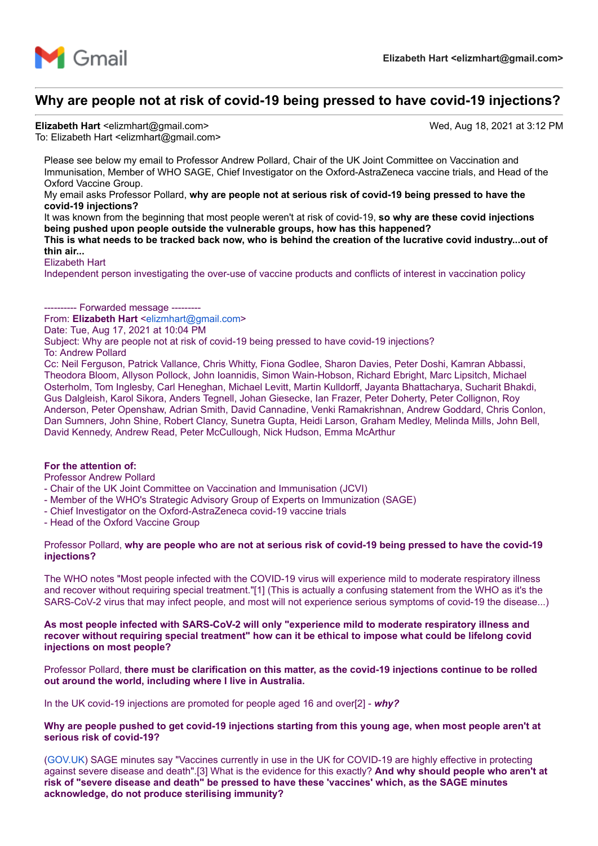

# **Why are people not at risk of covid-19 being pressed to have covid-19 injections?**

Elizabeth Hart <elizmhart@gmail.com> Wed, Aug 18, 2021 at 3:12 PM To: Elizabeth Hart <elizmhart@gmail.com>

Please see below my email to Professor Andrew Pollard, Chair of the UK Joint Committee on Vaccination and Immunisation, Member of WHO SAGE, Chief Investigator on the Oxford-AstraZeneca vaccine trials, and Head of the Oxford Vaccine Group.

My email asks Professor Pollard, **why are people not at serious risk of covid-19 being pressed to have the covid-19 injections?**

It was known from the beginning that most people weren't at risk of covid-19, **so why are these covid injections being pushed upon people outside the vulnerable groups, how has this happened?**

**This is what needs to be tracked back now, who is behind the creation of the lucrative covid industry...out of thin air...**

Elizabeth Hart

Independent person investigating the over-use of vaccine products and conflicts of interest in vaccination policy

---------- Forwarded message ----From: **Elizabeth Hart** [<elizmhart@gmail.com>](mailto:elizmhart@gmail.com) Date: Tue, Aug 17, 2021 at 10:04 PM Subject: Why are people not at risk of covid-19 being pressed to have covid-19 injections? To: Andrew Pollard Cc: Neil Ferguson, Patrick Vallance, Chris Whitty, Fiona Godlee, Sharon Davies, Peter Doshi, Kamran Abbassi, Theodora Bloom, Allyson Pollock, John Ioannidis, Simon Wain-Hobson, Richard Ebright, Marc Lipsitch, Michael Osterholm, Tom Inglesby, Carl Heneghan, Michael Levitt, Martin Kulldorff, Jayanta Bhattacharya, Sucharit Bhakdi, Gus Dalgleish, Karol Sikora, Anders Tegnell, Johan Giesecke, Ian Frazer, Peter Doherty, Peter Collignon, Roy Anderson, Peter Openshaw, Adrian Smith, David Cannadine, Venki Ramakrishnan, Andrew Goddard, Chris Conlon, Dan Sumners, John Shine, Robert Clancy, Sunetra Gupta, Heidi Larson, Graham Medley, Melinda Mills, John Bell,

# **For the attention of:**

Professor Andrew Pollard

- Chair of the UK Joint Committee on Vaccination and Immunisation (JCVI)
- Member of the WHO's Strategic Advisory Group of Experts on Immunization (SAGE)

David Kennedy, Andrew Read, Peter McCullough, Nick Hudson, Emma McArthur

- Chief Investigator on the Oxford-AstraZeneca covid-19 vaccine trials
- Head of the Oxford Vaccine Group

#### Professor Pollard, **why are people who are not at serious risk of covid-19 being pressed to have the covid-19 injections?**

The WHO notes "Most people infected with the COVID-19 virus will experience mild to moderate respiratory illness and recover without requiring special treatment."[1] (This is actually a confusing statement from the WHO as it's the SARS-CoV-2 virus that may infect people, and most will not experience serious symptoms of covid-19 the disease...)

**As most people infected with SARS-CoV-2 will only "experience mild to moderate respiratory illness and recover without requiring special treatment" how can it be ethical to impose what could be lifelong covid injections on most people?**

Professor Pollard, **there must be clarification on this matter, as the covid-19 injections continue to be rolled out around the world, including where I live in Australia.**

In the UK covid-19 injections are promoted for people aged 16 and over[2] - *why?*

# **Why are people pushed to get covid-19 injections starting from this young age, when most people aren't at serious risk of covid-19?**

[\(GOV.UK\)](http://gov.uk/) SAGE minutes say "Vaccines currently in use in the UK for COVID-19 are highly effective in protecting against severe disease and death".[3] What is the evidence for this exactly? **And why should people who aren't at risk of "severe disease and death" be pressed to have these 'vaccines' which, as the SAGE minutes acknowledge, do not produce sterilising immunity?**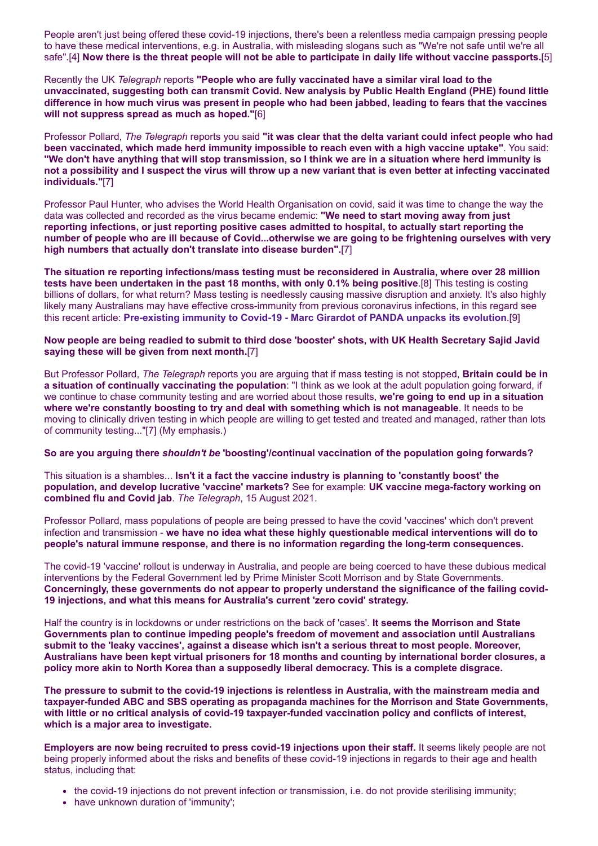People aren't just being offered these covid-19 injections, there's been a relentless media campaign pressing people to have these medical interventions, e.g. in Australia, with misleading slogans such as "We're not safe until we're all safe".[4] **Now there is the threat people will not be able to participate in daily life without vaccine passports.**[5]

Recently the UK *Telegraph* reports **"People who are fully vaccinated have a similar viral load to the unvaccinated, suggesting both can transmit Covid. New analysis by Public Health England (PHE) found little difference in how much virus was present in people who had been jabbed, leading to fears that the vaccines will not suppress spread as much as hoped."**[6]

Professor Pollard, *The Telegraph* reports you said **"it was clear that the delta variant could infect people who had been vaccinated, which made herd immunity impossible to reach even with a high vaccine uptake"**. You said: **"We don't have anything that will stop transmission, so I think we are in a situation where herd immunity is not a possibility and I suspect the virus will throw up a new variant that is even better at infecting vaccinated individuals."**[7]

Professor Paul Hunter, who advises the World Health Organisation on covid, said it was time to change the way the data was collected and recorded as the virus became endemic: **"We need to start moving away from just reporting infections, or just reporting positive cases admitted to hospital, to actually start reporting the number of people who are ill because of Covid...otherwise we are going to be frightening ourselves with very high numbers that actually don't translate into disease burden".**[7]

**The situation re reporting infections/mass testing must be reconsidered in Australia, where over 28 million tests have been undertaken in the past 18 months, with only 0.1% being positive**.[8] This testing is costing billions of dollars, for what return? Mass testing is needlessly causing massive disruption and anxiety. It's also highly likely many Australians may have effective cross-immunity from previous coronavirus infections, in this regard see this recent article: **[Pre-existing immunity to Covid-19 - Marc Girardot of PANDA unpacks its evolution](https://www.biznews.com/health/2021/08/16/pre-existing-immunity)**.[9]

#### **Now people are being readied to submit to third dose 'booster' shots, with UK Health Secretary Sajid Javid saying these will be given from next month.**[7]

But Professor Pollard, *The Telegraph* reports you are arguing that if mass testing is not stopped, **Britain could be in a situation of continually vaccinating the population**: "I think as we look at the adult population going forward, if we continue to chase community testing and are worried about those results, **we're going to end up in a situation where we're constantly boosting to try and deal with something which is not manageable**. It needs to be moving to clinically driven testing in which people are willing to get tested and treated and managed, rather than lots of community testing..."[7] (My emphasis.)

# **So are you arguing there** *shouldn't be* **'boosting'/continual vaccination of the population going forwards?**

This situation is a shambles... **Isn't it a fact the vaccine industry is planning to 'constantly boost' the population, and develop lucrative 'vaccine' markets?** See for example: **UK vaccine mega-factory working on combined flu and Covid jab**. *The Telegraph*, 15 August 2021.

Professor Pollard, mass populations of people are being pressed to have the covid 'vaccines' which don't prevent infection and transmission - **we have no idea what these highly questionable medical interventions will do to people's natural immune response, and there is no information regarding the long-term consequences.**

The covid-19 'vaccine' rollout is underway in Australia, and people are being coerced to have these dubious medical interventions by the Federal Government led by Prime Minister Scott Morrison and by State Governments. **Concerningly, these governments do not appear to properly understand the significance of the failing covid-19 injections, and what this means for Australia's current 'zero covid' strategy.**

Half the country is in lockdowns or under restrictions on the back of 'cases'. **It seems the Morrison and State Governments plan to continue impeding people's freedom of movement and association until Australians submit to the 'leaky vaccines', against a disease which isn't a serious threat to most people. Moreover, Australians have been kept virtual prisoners for 18 months and counting by international border closures, a policy more akin to North Korea than a supposedly liberal democracy. This is a complete disgrace.**

**The pressure to submit to the covid-19 injections is relentless in Australia, with the mainstream media and taxpayer-funded ABC and SBS operating as propaganda machines for the Morrison and State Governments, with little or no critical analysis of covid-19 taxpayer-funded vaccination policy and conflicts of interest, which is a major area to investigate.**

**Employers are now being recruited to press covid-19 injections upon their staff.** It seems likely people are not being properly informed about the risks and benefits of these covid-19 injections in regards to their age and health status, including that:

- the covid-19 injections do not prevent infection or transmission, i.e. do not provide sterilising immunity;
- have unknown duration of 'immunity';